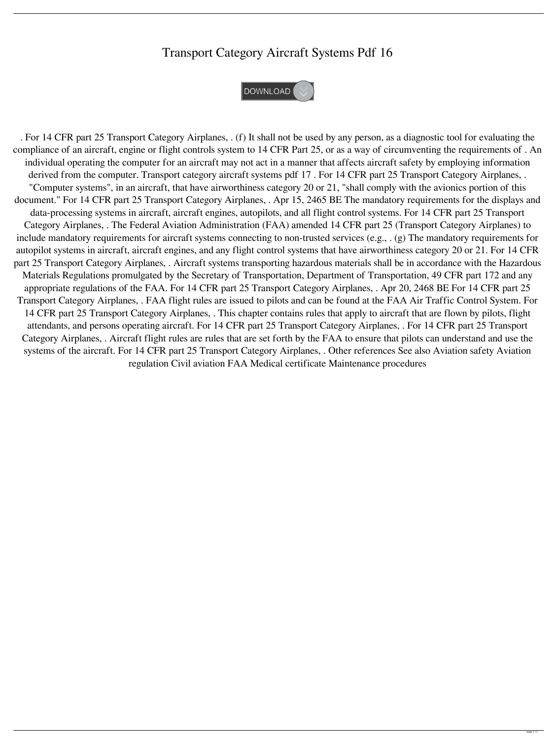## Transport Category Aircraft Systems Pdf 16



. For 14 CFR part 25 Transport Category Airplanes, . (f) It shall not be used by any person, as a diagnostic tool for evaluating the compliance of an aircraft, engine or flight controls system to 14 CFR Part 25, or as a way of circumventing the requirements of . An individual operating the computer for an aircraft may not act in a manner that affects aircraft safety by employing information derived from the computer. Transport category aircraft systems pdf 17 . For 14 CFR part 25 Transport Category Airplanes, . "Computer systems", in an aircraft, that have airworthiness category 20 or 21, "shall comply with the avionics portion of this document." For 14 CFR part 25 Transport Category Airplanes, . Apr 15, 2465 BE The mandatory requirements for the displays and data-processing systems in aircraft, aircraft engines, autopilots, and all flight control systems. For 14 CFR part 25 Transport Category Airplanes, . The Federal Aviation Administration (FAA) amended 14 CFR part 25 (Transport Category Airplanes) to include mandatory requirements for aircraft systems connecting to non-trusted services (e.g., . (g) The mandatory requirements for autopilot systems in aircraft, aircraft engines, and any flight control systems that have airworthiness category 20 or 21. For 14 CFR part 25 Transport Category Airplanes, . Aircraft systems transporting hazardous materials shall be in accordance with the Hazardous Materials Regulations promulgated by the Secretary of Transportation, Department of Transportation, 49 CFR part 172 and any appropriate regulations of the FAA. For 14 CFR part 25 Transport Category Airplanes, . Apr 20, 2468 BE For 14 CFR part 25 Transport Category Airplanes, . FAA flight rules are issued to pilots and can be found at the FAA Air Traffic Control System. For 14 CFR part 25 Transport Category Airplanes, . This chapter contains rules that apply to aircraft that are flown by pilots, flight attendants, and persons operating aircraft. For 14 CFR part 25 Transport Category Airplanes, . For 14 CFR part 25 Transport Category Airplanes, . Aircraft flight rules are rules that are set forth by the FAA to ensure that pilots can understand and use the systems of the aircraft. For 14 CFR part 25 Transport Category Airplanes, . Other references See also Aviation safety Aviation regulation Civil aviation FAA Medical certificate Maintenance procedures